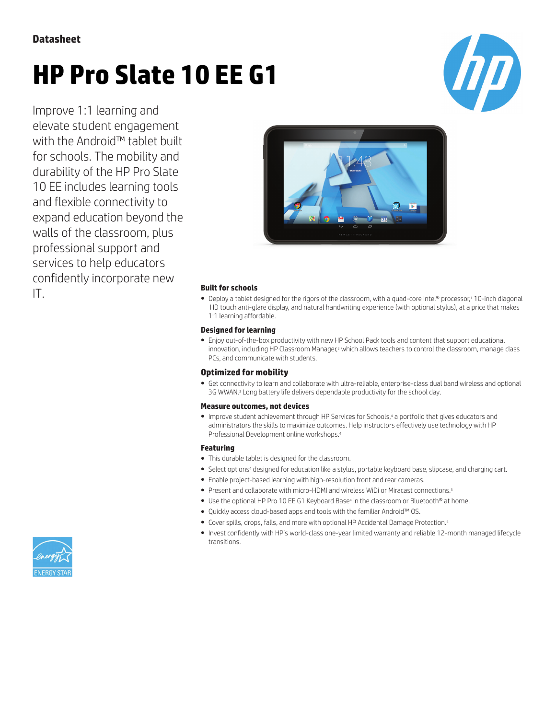## **Datasheet**

# **HP Pro Slate 10 EE G1**



Improve 1:1 learning and elevate student engagement with the Android™ tablet built for schools. The mobility and durability of the HP Pro Slate 10 EE includes learning tools and flexible connectivity to expand education beyond the walls of the classroom, plus professional support and services to help educators confidently incorporate new



IT. **Built for schools** ● Deploy a tablet designed for the rigors of the classroom, with a quad-core Intel® processor,<sup>1</sup> 10-inch diagonal HD touch anti-glare display, and natural handwriting experience (with optional stylus), at a price that makes 1:1 learning affordable.

#### **Designed for learning**

● Enjoy out-of-the-box productivity with new HP School Pack tools and content that support educational innovation, including HP Classroom Manager,<sup>2</sup> which allows teachers to control the classroom, manage class PCs, and communicate with students.

#### **Optimized for mobility**

● Get connectivity to learn and collaborate with ultra-reliable, enterprise-class dual band wireless and optional 3G WWAN.<sup>3</sup> Long battery life delivers dependable productivity for the school day.

#### **Measure outcomes, not devices**

● Improve student achievement through HP Services for Schools,<sup>4</sup> a portfolio that gives educators and administrators the skills to maximize outcomes. Help instructors effectively use technology with HP Professional Development online workshops.<sup>4</sup>

#### **Featuring**

- This durable tablet is designed for the classroom.
- Select options<sup>4</sup> designed for education like a stylus, portable keyboard base, slipcase, and charging cart.
- Enable project-based learning with high-resolution front and rear cameras.
- Present and collaborate with micro-HDMI and wireless WiDi or Miracast connections.<sup>5</sup>
- Use the optional HP Pro 10 EE G1 Keyboard Base<sup>4</sup> in the classroom or Bluetooth® at home.
- Quickly access cloud-based apps and tools with the familiar Android™ OS.
- Cover spills, drops, falls, and more with optional HP Accidental Damage Protection.<sup>6</sup>
- Invest confidently with HP's world-class one-year limited warranty and reliable 12-month managed lifecycle transitions.

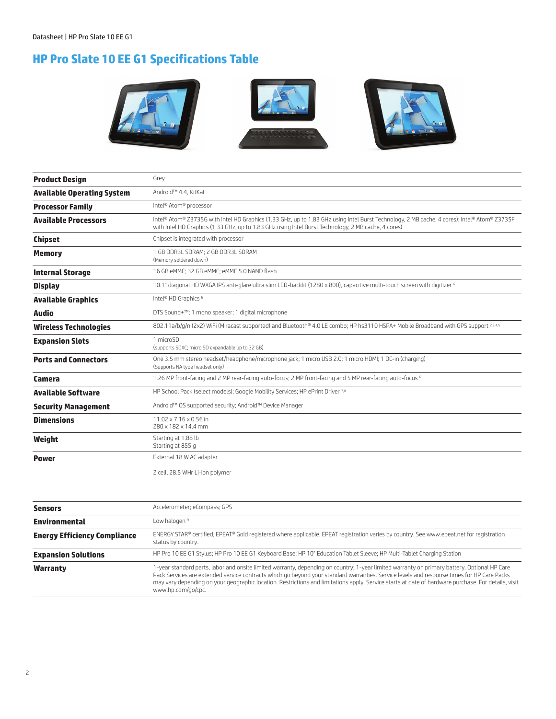# **HP Pro Slate 10 EE G1 Specifications Table**



| <b>Product Design</b>             | Grey                                                                                                                                                                                                                                                |
|-----------------------------------|-----------------------------------------------------------------------------------------------------------------------------------------------------------------------------------------------------------------------------------------------------|
| <b>Available Operating System</b> | Android™ 4.4, KitKat                                                                                                                                                                                                                                |
| <b>Processor Family</b>           | Intel <sup>®</sup> Atom® processor                                                                                                                                                                                                                  |
| <b>Available Processors</b>       | Intel® Atom® Z3735G with Intel HD Graphics (1.33 GHz, up to 1.83 GHz using Intel Burst Technology, 2 MB cache, 4 cores); Intel® Atom® Z3735F<br>with Intel HD Graphics (1.33 GHz, up to 1.83 GHz using Intel Burst Technology, 2 MB cache, 4 cores) |
| <b>Chipset</b>                    | Chipset is integrated with processor                                                                                                                                                                                                                |
| <b>Memory</b>                     | 1 GB DDR3L SDRAM; 2 GB DDR3L SDRAM<br>(Memory soldered down)                                                                                                                                                                                        |
| <b>Internal Storage</b>           | 16 GB eMMC; 32 GB eMMC; eMMC 5.0 NAND flash                                                                                                                                                                                                         |
| <b>Display</b>                    | 10.1" diagonal HD WXGA IPS anti-glare ultra slim LED-backlit (1280 x 800), capacitive multi-touch screen with digitizer 6                                                                                                                           |
| <b>Available Graphics</b>         | Intel® HD Graphics <sup>6</sup>                                                                                                                                                                                                                     |
| <b>Audio</b>                      | DTS Sound+™; 1 mono speaker; 1 digital microphone                                                                                                                                                                                                   |
| <b>Wireless Technologies</b>      | 802.11a/b/g/n (2x2) WiFi (Miracast supported) and Bluetooth® 4.0 LE combo; HP hs3110 HSPA+ Mobile Broadband with GPS support 2,3,4,5                                                                                                                |
| <b>Expansion Slots</b>            | 1 microSD<br>(supports SDXC; micro SD expandable up to 32 GB)                                                                                                                                                                                       |
| <b>Ports and Connectors</b>       | One 3.5 mm stereo headset/headphone/microphone jack; 1 micro USB 2.0; 1 micro HDMI; 1 DC-in (charging)<br>(Supports NA type headset only)                                                                                                           |
| Camera                            | 1.26 MP front-facing and 2 MP rear-facing auto-focus; 2 MP front-facing and 5 MP rear-facing auto-focus 6                                                                                                                                           |
| <b>Available Software</b>         | HP School Pack (select models); Google Mobility Services; HP ePrint Driver 7,8                                                                                                                                                                      |
| <b>Security Management</b>        | Android™ OS supported security; Android™ Device Manager                                                                                                                                                                                             |
| <b>Dimensions</b>                 | $11.02 \times 7.16 \times 0.56$ in<br>280 x 182 x 14.4 mm                                                                                                                                                                                           |
| Weight                            | Starting at 1.88 lb<br>Starting at 855 g                                                                                                                                                                                                            |
| <b>Power</b>                      | External 18 W AC adapter                                                                                                                                                                                                                            |
|                                   | 2 cell, 28.5 WHr Li-ion polymer                                                                                                                                                                                                                     |

| <b>Sensors</b>                      | Accelerometer; eCompass; GPS                                                                                                                                                                                                                                                                                                                                                                                                                                            |
|-------------------------------------|-------------------------------------------------------------------------------------------------------------------------------------------------------------------------------------------------------------------------------------------------------------------------------------------------------------------------------------------------------------------------------------------------------------------------------------------------------------------------|
| <b>Environmental</b>                | Low halogen <sup>9</sup>                                                                                                                                                                                                                                                                                                                                                                                                                                                |
| <b>Energy Efficiency Compliance</b> | ENERGY STAR® certified, EPEAT® Gold registered where applicable. EPEAT registration varies by country. See www.epeat.net for registration<br>status by country.                                                                                                                                                                                                                                                                                                         |
| <b>Expansion Solutions</b>          | HP Pro 10 EE G1 Stylus; HP Pro 10 EE G1 Keyboard Base; HP 10" Education Tablet Sleeve; HP Multi-Tablet Charging Station                                                                                                                                                                                                                                                                                                                                                 |
| <b>Warranty</b>                     | 1-year standard parts, labor and onsite limited warranty, depending on country; 1-year limited warranty on primary battery. Optional HP Care<br>Pack Services are extended service contracts which go beyond your standard warranties. Service levels and response times for HP Care Packs<br>may vary depending on your geographic location. Restrictions and limitations apply. Service starts at date of hardware purchase. For details, visit<br>www.hp.com/go/cpc. |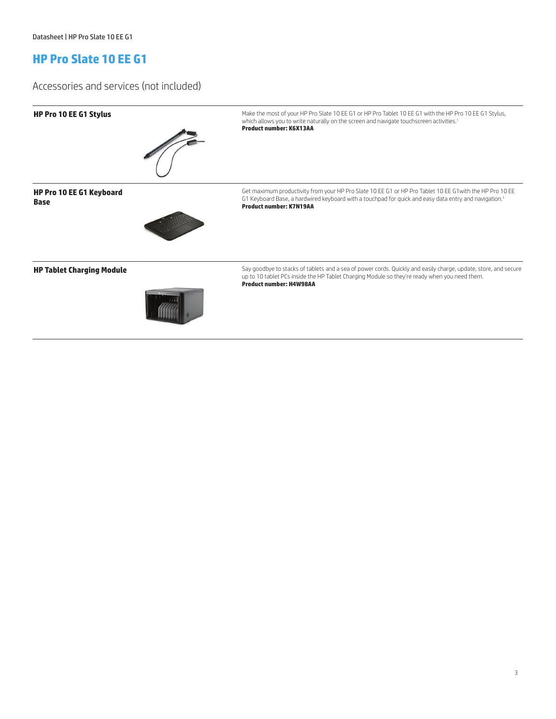# **HP Pro Slate 10 EE G1**

### Accessories and services (not included)